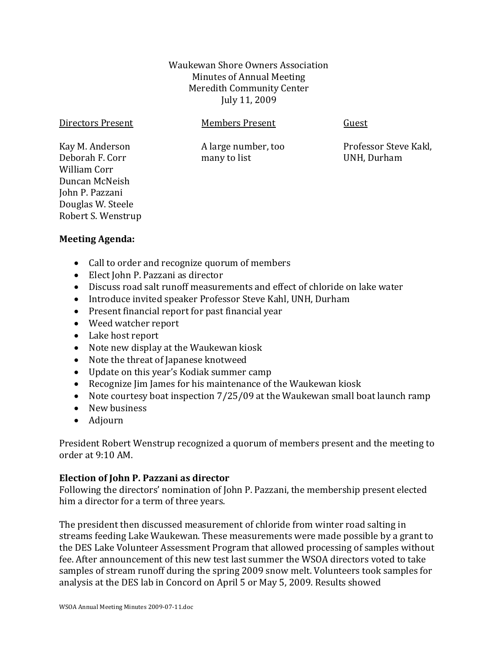### Waukewan Shore Owners Association Minutes of Annual Meeting Meredith Community Center July 11, 2009

William Corr Duncan McNeish John P. Pazzani Douglas W. Steele Robert S. Wenstrup

#### Directors Present Members Present Guest

Deborah F. Corr many to list UNH, Durham

Kay M. Anderson **A** large number, too **Professor Steve Kakl**,

### **Meeting Agenda:**

- Call to order and recognize quorum of members
- Elect John P. Pazzani as director
- Discuss road salt runoff measurements and effect of chloride on lake water
- Introduce invited speaker Professor Steve Kahl, UNH, Durham
- Present financial report for past financial year
- Weed watcher report
- Lake host report
- Note new display at the Waukewan kiosk
- Note the threat of Japanese knotweed
- Update on this year's Kodiak summer camp
- Recognize Jim James for his maintenance of the Waukewan kiosk
- Note courtesy boat inspection 7/25/09 at the Waukewan small boat launch ramp
- New business
- Adjourn

President Robert Wenstrup recognized a quorum of members present and the meeting to order at 9:10 AM.

### **Election of John P. Pazzani as director**

Following the directors' nomination of John P. Pazzani, the membership present elected him a director for a term of three years.

The president then discussed measurement of chloride from winter road salting in streams feeding Lake Waukewan. These measurements were made possible by a grant to the DES Lake Volunteer Assessment Program that allowed processing of samples without fee. After announcement of this new test last summer the WSOA directors voted to take samples of stream runoff during the spring 2009 snow melt. Volunteers took samples for analysis at the DES lab in Concord on April 5 or May 5, 2009. Results showed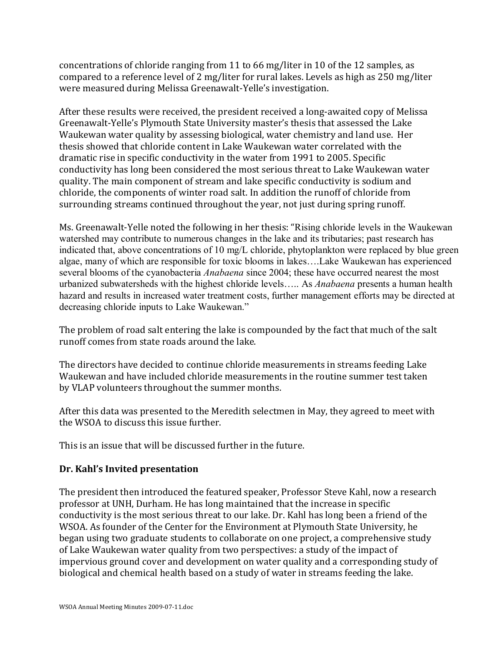concentrations of chloride ranging from 11 to 66 mg/liter in 10 of the 12 samples, as compared to a reference level of 2 mg/liter for rural lakes. Levels as high as 250 mg/liter were measured during Melissa Greenawalt-Yelle's investigation.

After these results were received, the president received a long-awaited copy of Melissa Greenawalt-Yelle's Plymouth State University master's thesis that assessed the Lake Waukewan water quality by assessing biological, water chemistry and land use. Her thesis showed that chloride content in Lake Waukewan water correlated with the dramatic rise in specific conductivity in the water from 1991 to 2005. Specific conductivity has long been considered the most serious threat to Lake Waukewan water quality. The main component of stream and lake specific conductivity is sodium and chloride, the components of winter road salt. In addition the runoff of chloride from surrounding streams continued throughout the year, not just during spring runoff.

Ms. Greenawalt-Yelle noted the following in her thesis: "Rising chloride levels in the Waukewan watershed may contribute to numerous changes in the lake and its tributaries; past research has indicated that, above concentrations of 10 mg/L chloride, phytoplankton were replaced by blue green algae, many of which are responsible for toxic blooms in lakes….Lake Waukewan has experienced several blooms of the cyanobacteria *Anabaena* since 2004; these have occurred nearest the most urbanized subwatersheds with the highest chloride levels….. As *Anabaena* presents a human health hazard and results in increased water treatment costs, further management efforts may be directed at decreasing chloride inputs to Lake Waukewan."

The problem of road salt entering the lake is compounded by the fact that much of the salt runoff comes from state roads around the lake.

The directors have decided to continue chloride measurements in streams feeding Lake Waukewan and have included chloride measurements in the routine summer test taken by VLAP volunteers throughout the summer months.

After this data was presented to the Meredith selectmen in May, they agreed to meet with the WSOA to discuss this issue further.

This is an issue that will be discussed further in the future.

# **Dr. Kahl's Invited presentation**

The president then introduced the featured speaker, Professor Steve Kahl, now a research professor at UNH, Durham. He has long maintained that the increase in specific conductivity is the most serious threat to our lake. Dr. Kahl has long been a friend of the WSOA. As founder of the Center for the Environment at Plymouth State University, he began using two graduate students to collaborate on one project, a comprehensive study of Lake Waukewan water quality from two perspectives: a study of the impact of impervious ground cover and development on water quality and a corresponding study of biological and chemical health based on a study of water in streams feeding the lake.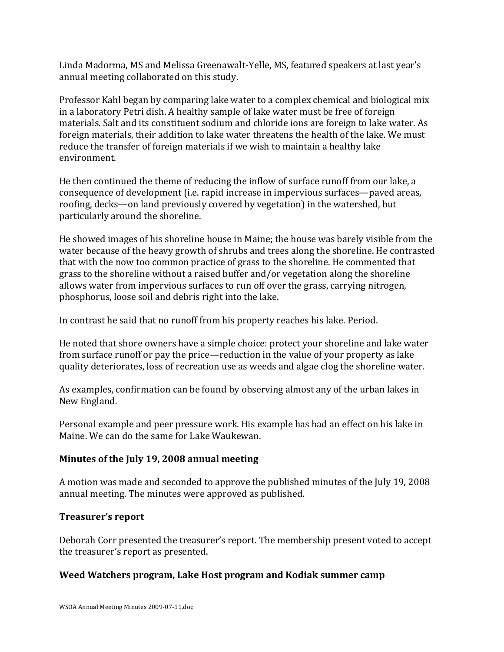Linda Madorma, MS and Melissa Greenawalt-Yelle, MS, featured speakers at last year's annual meeting collaborated on this study.

Professor Kahl began by comparing lake water to a complex chemical and biological mix in a laboratory Petri dish. A healthy sample of lake water must be free of foreign materials. Salt and its constituent sodium and chloride ions are foreign to lake water. As foreign materials, their addition to lake water threatens the health of the lake. We must reduce the transfer of foreign materials if we wish to maintain a healthy lake environment.

He then continued the theme of reducing the inflow of surface runoff from our lake, a consequence of development (i.e. rapid increase in impervious surfaces—paved areas, roofing, decks—on land previously covered by vegetation) in the watershed, but particularly around the shoreline.

He showed images of his shoreline house in Maine; the house was barely visible from the water because of the heavy growth of shrubs and trees along the shoreline. He contrasted that with the now too common practice of grass to the shoreline. He commented that grass to the shoreline without a raised buffer and/or vegetation along the shoreline allows water from impervious surfaces to run off over the grass, carrying nitrogen, phosphorus, loose soil and debris right into the lake.

In contrast he said that no runoff from his property reaches his lake. Period.

He noted that shore owners have a simple choice: protect your shoreline and lake water from surface runoff or pay the price—reduction in the value of your property as lake quality deteriorates, loss of recreation use as weeds and algae clog the shoreline water.

As examples, confirmation can be found by observing almost any of the urban lakes in New England.

Personal example and peer pressure work. His example has had an effect on his lake in Maine. We can do the same for Lake Waukewan.

# **Minutes of the July 19, 2008 annual meeting**

A motion was made and seconded to approve the published minutes of the July 19, 2008 annual meeting. The minutes were approved as published.

# **Treasurer's report**

Deborah Corr presented the treasurer's report. The membership present voted to accept the treasurer's report as presented.

# **Weed Watchers program, Lake Host program and Kodiak summer camp**